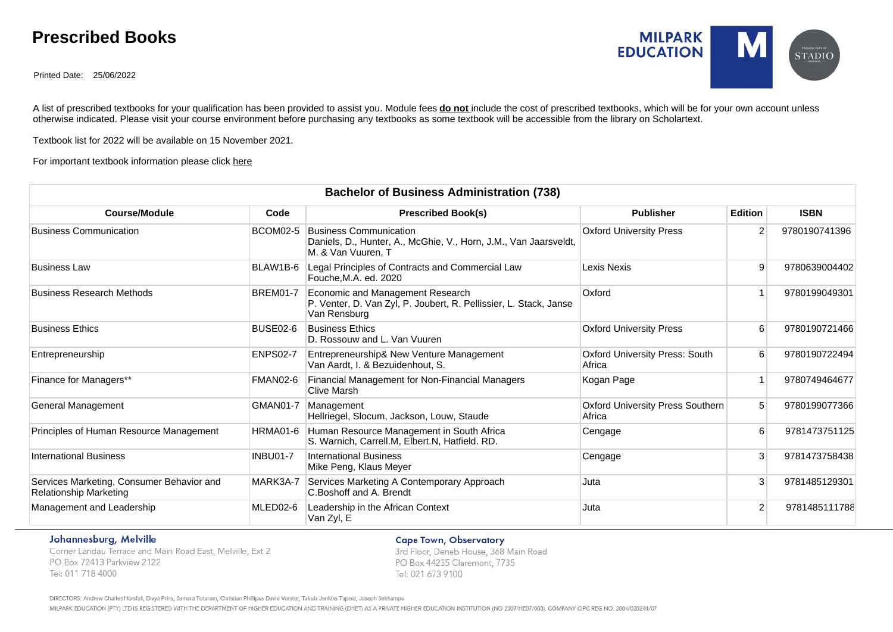# **Prescribed Books**

Printed Date: 25/06/2022



A list of prescribed textbooks for your qualification has been provided to assist you. Module fees **do not** include the cost of prescribed textbooks, which will be for your own account unless otherwise indicated. Please visit your course environment before purchasing any textbooks as some textbook will be accessible from the library on Scholartext.

Textbook list for 2022 will be available on 15 November 2021.

#### For important textbook information please click [here](http://www.milpark.ac.za/documents/10181/12314/Textbook+Guide_2018.pdf/55670773-2f08-42c7-addf-233df4ef943a)

| <b>Bachelor of Business Administration (738)</b>                           |                 |                                                                                                                         |                                                 |                |               |  |  |  |
|----------------------------------------------------------------------------|-----------------|-------------------------------------------------------------------------------------------------------------------------|-------------------------------------------------|----------------|---------------|--|--|--|
| <b>Course/Module</b>                                                       | Code            | <b>Prescribed Book(s)</b>                                                                                               | <b>Publisher</b>                                | <b>Edition</b> | <b>ISBN</b>   |  |  |  |
| <b>Business Communication</b>                                              | <b>BCOM02-5</b> | <b>Business Communication</b><br>Daniels, D., Hunter, A., McGhie, V., Horn, J.M., Van Jaarsveldt,<br>M. & Van Vuuren, T | <b>Oxford University Press</b>                  | 2              | 9780190741396 |  |  |  |
| <b>Business Law</b>                                                        | BLAW1B-6        | Legal Principles of Contracts and Commercial Law<br>Fouche, M.A. ed. 2020                                               | Lexis Nexis                                     | 9              | 9780639004402 |  |  |  |
| <b>Business Research Methods</b>                                           | <b>BREM01-7</b> | Economic and Management Research<br>P. Venter, D. Van Zyl, P. Joubert, R. Pellissier, L. Stack, Janse<br>Van Rensburg   | Oxford                                          |                | 9780199049301 |  |  |  |
| <b>Business Ethics</b>                                                     | BUSE02-6        | <b>Business Ethics</b><br>D. Rossouw and L. Van Vuuren                                                                  | <b>Oxford University Press</b>                  | 6              | 9780190721466 |  |  |  |
| Entrepreneurship                                                           | <b>ENPS02-7</b> | Entrepreneurship& New Venture Management<br>Van Aardt, I. & Bezuidenhout, S.                                            | <b>Oxford University Press: South</b><br>Africa | 6              | 9780190722494 |  |  |  |
| Finance for Managers**                                                     | FMAN02-6        | Financial Management for Non-Financial Managers<br>Clive Marsh                                                          | Kogan Page                                      | $\overline{1}$ | 9780749464677 |  |  |  |
| General Management                                                         | <b>GMAN01-7</b> | Management<br>Hellriegel, Slocum, Jackson, Louw, Staude                                                                 | Oxford University Press Southern<br>Africa      | 5              | 9780199077366 |  |  |  |
| Principles of Human Resource Management                                    | HRMA01-6        | Human Resource Management in South Africa<br>S. Warnich, Carrell.M, Elbert.N, Hatfield. RD.                             | Cengage                                         | 6              | 9781473751125 |  |  |  |
| <b>International Business</b>                                              | <b>INBU01-7</b> | <b>International Business</b><br>Mike Peng, Klaus Meyer                                                                 | Cengage                                         | 3              | 9781473758438 |  |  |  |
| Services Marketing, Consumer Behavior and<br><b>Relationship Marketing</b> | MARK3A-7        | Services Marketing A Contemporary Approach<br>C.Boshoff and A. Brendt                                                   | Juta                                            | 3              | 9781485129301 |  |  |  |
| Management and Leadership                                                  | MLED02-6        | Leadership in the African Context<br>Van Zyl, E                                                                         | Juta                                            | $\overline{2}$ | 9781485111788 |  |  |  |

#### Johannesburg, Melville

Corner Landau Terrace and Main Road East, Melville, Ext 2 PO Box 72413 Parkview 2122 Tel: 011 718 4000

### **Cape Town, Observatory**

3rd Floor, Deneb House, 368 Main Road PO Box 44235 Claremont, 7735 Tel: 021 673 9100

DIRECTORS: Andrew Charles Horsfall, Divya Prins, Samara Totaram, Christian Phillipus David Vorster, Takula Jenkins Tapela, Joseph Sekhampu

MILPARK EDUCATION (PTY) LTD IS REGISTERED WITH THE DEPARTMENT OF HIGHER EDUCATION AND TRAINING (DHET) AS A PRIVATE HIGHER EDUCATION INSTITUTION (NO 2007/HE07/003). COMPANY CIPC REG NO. 2004/020244/07